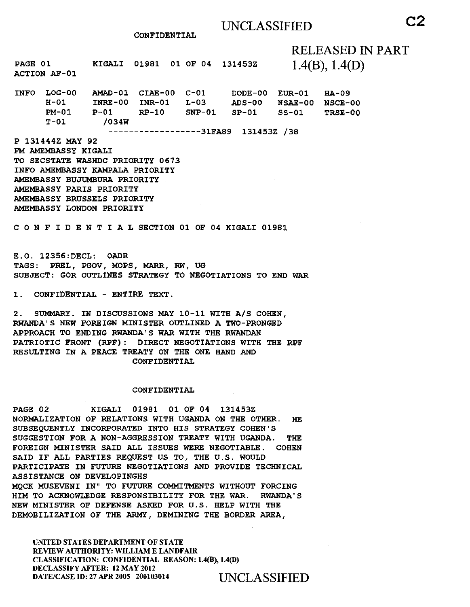### CONFIDENTIAL

# RELEASED IN PART 1.4(B), 1.4(D)

PAGE 01 ACTION AF-01 KIGALI 01981 01 OF 04 131453Z

INFO LOG-00  $H-01$ PM-01  $T-01$ AMAD-01 CIAE-00 C-01 INRE-00 INR-01 P-01 /034W RP-10 SNP-01 SP-01 SS-01 L-03 DODE-00 EUR-01 ADS-00 NSAE-00 NSCE-00 HA-09 TRSE-00

------------------31FA89 131453Z /38

P 131444Z MAY 92 FM AMEMBASSY KIGALI

TO SECSTATE WASHDC PRIORITY 0673 INFO AMEMBASSY KAMPALA PRIORITY AMEMBASSY BUJUMBURA PRIORITY AMEMBASSY PARIS PRIORITY AMEMBASSY BRUSSELS PRIORITY AMEMBASSY LONDON PRIORITY

C 0 N F I D E N T I A L SECTION 01 OF 04 KIGALI 01981

E.O. 12356:DECL: OADR TAGS: PREL, PGOV, MOPS, MARR, RW, UG SUBJECT: GOR OUTLINES STRATEGY TO NEGOTIATIONS TO END WAR

1. CONFIDENTIAL - ENTIRE TEXT.

2. SUMMARY. IN DISCUSSIONS MAY 10-11 WITH A/S COHEN, RWANDA'S NEW FOREIGN MINISTER OUTLINED A TWO-PRONGED APPROACH TO ENDING RWANDA'S WAR WITH THE RWANDAN PATRIOTIC FRONT (RPF): DIRECT NEGOTIATIONS WITH THE RPF RESULTING IN A PEACE TREATY ON THE ONE HAND AND CONFIDENTIAL

#### CONFIDENTIAL

PAGE 02 KIGALI 01981 01 OF 04 131453Z NORMALIZATION OF RELATIONS WITH UGANDA ON THE OTHER. HE SUBSEQUENTLY INCORPORATED INTO HIS STRATEGY COHEN'S SUGGESTION FOR A NON-AGGRESSION TREATY WITH UGANDA. THE FOREIGN MINISTER SAID ALL ISSUES WERE NEGOTIABLE. COHEN SAID IF ALL PARTIES REQUEST US TO, THE U.S. WOULD PARTICIPATE IN FUTURE NEGOTIATIONS AND PROVIDE TECHNICAL ASSISTANCE ON DEVELOPINGHS MQCK MUSEVENI IN" TO FUTURE COMMITMENTS WITHOUT FORCING HIM TO ACKNOWLEDGE RESPONSIBILITY FOR THE WAR. RWANDA'S NEW MINISTER OF DEFENSE ASKED FOR U.S. HELP WITH THE DEMOBILIZATION OF THE ARMY, DEMINING THE BORDER AREA,

UNITED STATES DEPARTMENT OF STATE REVIEW AUTHORITY: WILLIAM E LANDFAIR CLASSIFICATION: CONFIDENTIAL REASON: l.4(B), 1.4(D) DECLASSIFY AFTER: 12 MAY 2012 DATE/CASE ID: 27 APR 2005 200103014 UNCLASSIFIED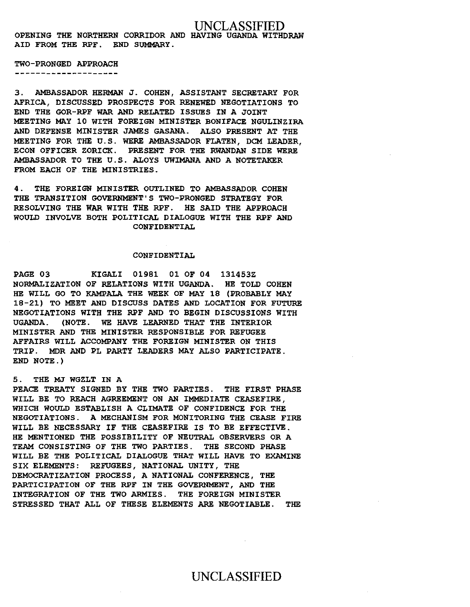UNCLASSIFIED OPENING THE NORTHERN CORRIDOR AND HAVING UGANDA WITHDRAW AID FROM THE RPF. END SUMMARY.

TWO-PRONGED APPROACH

--------------------

3. AMBASSADOR HERMAN J. COHEN, ASSISTANT SECRETARY FOR AFRICA, DISCUSSED PROSPECTS FOR RENEWED NEGOTIATIONS TO END THE GOR-RPF WAR AND RELATED ISSUES IN A JOINT MEETING MAY 10 WITH FOREIGN MINISTER BONIFACE NGULINZIRA AND DEFENSE MINISTER JAMES GASANA. ALSO PRESENT AT THE MEETING FOR THE U.S. WERE AMBASSADOR FLATEN, DCM LEADER, ECON OFFICER ZORICK. PRESENT FOR THE RWANDAN SIDE WERE AMBASSADOR TO THE U.S. ALOYS UWIMANA AND A NOTETAKER FROM EACH OF THE MINISTRIES.

4. THE FOREIGN MINISTER OUTLINED TO AMBASSADOR COHEN THE TRANSITION GOVERNMENT'S TWO-PRONGED STRATEGY FOR RESOLVING THE WAR WITH THE RPF. HE SAID THE APPROACH WOULD INVOLVE BOTH POLITICAL DIALOGUE WITH THE RPF AND CONFIDENTIAL

### CONFIDENTIAL

PAGE 03 KIGALI 01981 01 OF 04 131453Z NORMALIZATION OF RELATIONS WITH UGANDA. HE TOLD COHEN HE WILL GO TO KAMPALA THE WEEK OF MAY 18 (PROBABLY MAY 18-21) TO MEET AND DISCUSS DATES AND LOCATION FOR FUTURE NEGOTIATIONS WITH THE RPF AND TO BEGIN DISCUSSIONS WITH UGANDA. (NOTE. WE HAVE LEARNED THAT THE INTERIOR MINISTER AND THE MINISTER RESPONSIBLE FOR REFUGEE AFFAIRS WILL ACCOMPANY THE FOREIGN MINISTER ON THIS TRIP. MDR AND PL PARTY LEADERS MAY ALSO PARTICIPATE. END NOTE.)

5. THE MJ WGZLT IN A

PEACE TREATY SIGNED BY THE TWO PARTIES. THE FIRST PHASE WILL BE TO REACH AGREEMENT ON AN IMMEDIATE CEASEFIRE, WHICH WOULD ESTABLISH A CLIMATE OF CONFIDENCE FOR THE NEGOTIATIONS. A MECHANISM FOR MONITORING THE CEASE FIRE WILL BE NECESSARY IF THE CEASEFIRE IS TO BE EFFECTIVE. HE MENTIONED THE POSSIBILITY OF NEUTRAL OBSERVERS OR A TEAM CONSISTING OF THE TWO PARTIES. THE SECOND PHASE WILL BE THE POLITICAL DIALOGUE THAT WILL HAVE TO EXAMINE SIX ELEMENTS: REFUGEES, NATIONAL UNITY, THE DEMOCRATIZATION PROCESS, A NATIONAL CONFERENCE, THE PARTICIPATION OF THE RPF IN THE GOVERNMENT, AND THE INTEGRATION OF THE TWO ARMIES. THE FOREIGN MINISTER STRESSED THAT ALL OF THESE ELEMENTS ARE NEGOTIABLE. THE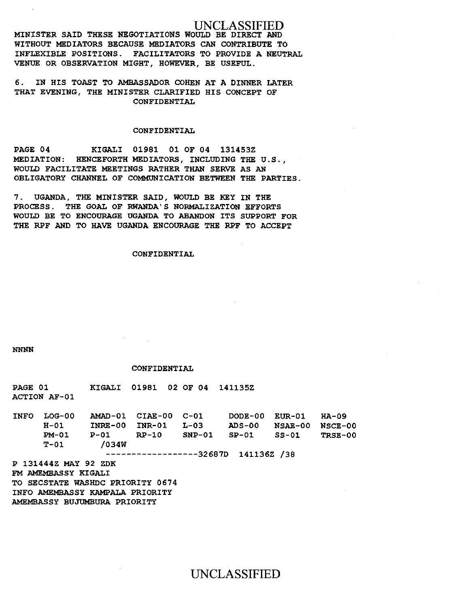MINISTER SAID THESE NEGOTIATIONS WOULD BE DIRECT AND WITHOUT MEDIATORS BECAUSE MEDIATORS CAN CONTRIBUTE TO INFLEXIBLE POSITIONS. FACILITATORS TO PROVIDE A NEUTRAL VENUE OR OBSERVATION MIGHT, HOWEVER, BE USEFUL.

### 6. IN HIS TOAST TO AMBASSADOR COHEN AT A DINNER LATER THAT EVENING, THE MINISTER CLARIFIED HIS CONCEPT OF CONFIDENTIAL

### CONFIDENTIAL

PAGE 04 KIGALI 01981 01 OF 04 131453Z MEDIATION: HENCEFORTH MEDIATORS, INCLUDING THE U.S., WOULD FACILITATE MEETINGS RATHER THAN SERVE AS AN OBLIGATORY CHANNEL OF COMMUNICATION BETWEEN THE PARTIES.

7. UGANDA, THE MINISTER SAID, WOULD BE KEY IN THE PROCESS. THE GOAL OF RWANDA'S NORMALIZATION EFFORTS WOULD BE TO ENCOURAGE UGANDA TO ABANDON ITS SUPPORT FOR THE RPF AND TO HAVE UGANDA ENCOURAGE THE RPF TO ACCEPT

### CONFIDENTIAL

NNNN

#### CONFIDENTIAL

PAGE 01 ACTION AF-01 KIGALI 01981 02 OF 04 141135Z

| <b>INFO</b> | LOG-00  |                                  | AMAD-01 CIAE-00 C-01      |        |        | DODE-00 EUR-01 | HA-09          |  |  |
|-------------|---------|----------------------------------|---------------------------|--------|--------|----------------|----------------|--|--|
|             | H-01    |                                  | $INRE-00$ $INR-01$ $L-03$ |        | ADS-00 | <b>NSAE-00</b> | <b>NSCE-00</b> |  |  |
|             | $PM-01$ | $P-01$ RP-10                     |                           | SNP-01 | SP-01  | SS-01          | <b>TRSE-00</b> |  |  |
|             | $T-01$  | /034W                            |                           |        |        |                |                |  |  |
|             |         | $------------32687D 141136Z /38$ |                           |        |        |                |                |  |  |

P 131444Z MAY 92 ZDK FM AMEMBASSY KIGALI TO SECSTATE WASHDC PRIORITY 0674 INFO AMEMBASSY KAMPALA PRIORITY AMEMBASSY BUJUMBURA PRIORITY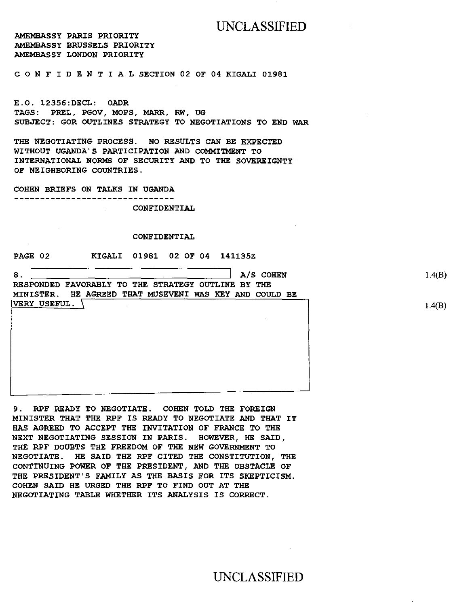1.4(B)

1.4(B)

AMEMBASSY PARIS PRIORITY AMEMBASSY BRUSSELS PRIORITY AMEMBASSY LONDON PRIORITY

C 0 N F I D E N T I A L SECTION 02 OF 04 KIGALI 01981

E.O. 12356:DECL: OADR TAGS: PREL, PGOV, MOPS, MARR, RW, UG SUBJECT: GOR OUTLINES STRATEGY TO NEGOTIATIONS TO END WAR

THE NEGOTIATING PROCESS. NO RESULTS CAN BE EXPECTED WITHOUT UGANDA'S PARTICIPATION AND COMMITMENT TO INTERNATIONAL NORMS OF SECURITY AND TO THE SOVEREIGNTY OF NEIGHBORING COUNTRIES.

COHEN BRIEFS ON TALKS IN UGANDA \_\_\_\_\_\_\_\_\_\_\_\_\_\_\_\_\_\_\_\_\_\_\_\_\_\_\_\_\_\_\_\_

CONFIDENTIAL

#### CONFIDENTIAL

PAGE 02 KIGALI 01981 02 OF 04 141135Z

| 8.                                                               | A/S COHEN |
|------------------------------------------------------------------|-----------|
| RESPONDED FAVORABLY TO THE STRATEGY OUTLINE BY THE               |           |
| HE AGREED THAT MUSEVENI WAS KEY AND COULD BE<br><b>MINISTER.</b> |           |
| <b>IVERY USEFUL.</b>                                             |           |
|                                                                  |           |
|                                                                  |           |
|                                                                  |           |
|                                                                  |           |
|                                                                  |           |
|                                                                  |           |
|                                                                  |           |
|                                                                  |           |

9. RPF READY TO NEGOTIATE. COHEN TOLD THE FOREIGN MINISTER THAT THE RPF IS READY TO NEGOTIATE AND THAT IT HAS AGREED TO ACCEPT THE INVITATION OF FRANCE TO THE NEXT NEGOTIATING SESSION IN PARIS. HOWEVER, HE SAID, THE RPF DOUBTS THE FREEDOM OF THE NEW GOVERNMENT TO NEGOTIATE. HE SAID THE RPF CITED THE CONSTITUTION, THE CONTINUING POWER OF THE PRESIDENT, AND THE OBSTACLE OF THE PRESIDENT'S FAMILY AS THE BASIS FOR ITS SKEPTICISM. COHEN SAID HE URGED THE RPF TO FIND OUT AT THE NEGOTIATING TABLE WHETHER ITS ANALYSIS IS CORRECT.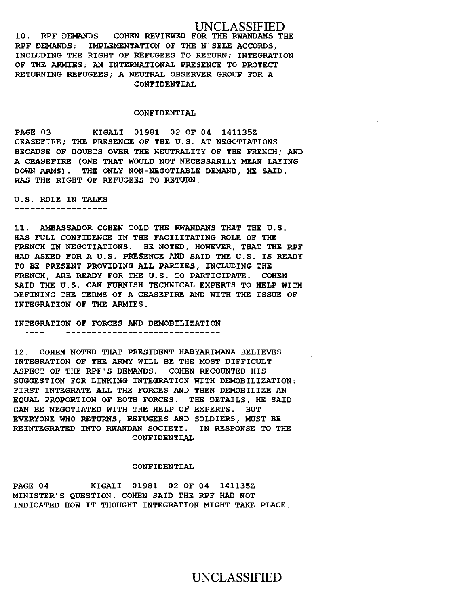10. RPF DEMANDS. COHEN REVIEWED FOR THE RWANDANS THE RPF DEMANDS: IMPLEMENTATION OF THE N' SELE ACCORDS, INCLUDING THE RIGHT OF REFUGEES TO RETURN; INTEGRATION OF THE ARMIES; AN INTERNATIONAL PRESENCE TO PROTECT RETURNING REFUGEES; A NEUTRAL OBSERVER GROUP FOR A CONFIDENTIAL

### CONFIDENTIAL

PAGE 03 KIGALI 01981 02 OF 04 141135Z CEASEFIRE; THE PRESENCE OF THE U.S. AT NEGOTIATIONS BECAUSE OF DOUBTS OVER THE NEUTRALITY OF THE FRENCH; AND A CEASEFIRE (ONE THAT WOULD NOT NECESSARILY MEAN LAYING DOWN ARMS). THE ONLY NON-NEGOTIABLE DEMAND, HE SAID, WAS THE RIGHT OF REFUGEES TO RETURN.

U.S. ROLE IN TALKS

-------------------

11. AMBASSADOR COHEN TOLD THE RWANDANS THAT THE U.S. HAS FULL CONFIDENCE IN THE FACILITATING ROLE OF THE FRENCH IN NEGOTIATIONS. HE NOTED, HOWEVER, THAT THE RPF HAD ASKED FOR A U.S. PRESENCE AND SAID THE U.S. IS READY TO BE PRESENT PROVIDING ALL PARTIES, INCLUDING THE FRENCH, ARE READY FOR THE U.S. TO PARTICIPATE. COHEN SAID THE U.S. CAN FURNISH TECHNICAL EXPERTS TO HELP WITH DEFINING THE TERMS OF A CEASEFIRE AND WITH THE ISSUE OF INTEGRATION OF THE ARMIES.

INTEGRATION OF FORCES AND DEMOBILIZATION 

12. COHEN NOTED THAT PRESIDENT HABYARIMANA BELIEVES INTEGRATION OF THE ARMY WILL BE THE MOST DIFFICULT ASPECT OF THE RPF'S DEMANDS. COHEN RECOUNTED HIS SUGGESTION FOR LINKING INTEGRATION WITH DEMOBILIZATION: FIRST INTEGRATE ALL THE FORCES AND THEN DEMOBILIZE AN EQUAL PROPORTION OF BOTH FORCES. THE DETAILS, HE SAID CAN BE NEGOTIATED WITH THE HELP OF EXPERTS. BUT EVERYONE WHO RETURNS, REFUGEES AND SOLDIERS, MUST BE REINTEGRATED INTO RWANDAN SOCIETY. IN RESPONSE TO THE CONFIDENTIAL

### CONFIDENTIAL

PAGE 04 KIGALI 01981 02 OF 04 141135Z MINISTER'S QUESTION, COHEN SAID THE RPF HAD NOT INDICATED HOW IT THOUGHT INTEGRATION MIGHT TAKE PLACE.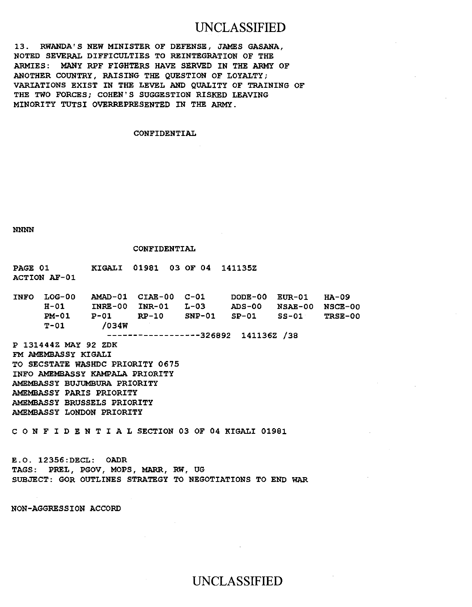13. RWANDA'S NEW MINISTER OF DEFENSE, JAMES GASANA, NOTED SEVERAL DIFFICULTIES TO REINTEGRATION OF THE ARMIES: MANY RPF FIGHTERS HAVE SERVED IN THE ARMY OF ANOTHER COUNTRY, RAISING THE QUESTION OF LOYALTY; VARIATIONS EXIST IN THE LEVEL AND QUALITY OF TRAINING OF THE TWO FORCES; COHEN'S SUGGESTION RISKED LEAVING MINORITY TUTSI OVERREPRESENTED IN THE ARMY.

CONFIDENTIAL

NNNN

#### CONFIDENTIAL

PAGE 01 ACTION AF-01 KIGALI 01981 03 OF 04 141135Z

INFO LOG-00 AMAD-01 CIAE-00 C-01 INRE-00 INR-01 L-03 P-Ol RP-10 SNP-01  $H-01$ PM-01 T-01 /034W DODE-00 EUR-01 ADS-00 SP-01 NSAE-00 NSCE-00 SS-01 HA-09 TRSE-00

------------------326892 141136Z /38

P 131444Z MAY 92 ZDK FM AMEMBASSY KIGALI TO SECSTATE WASHDC PRIORITY 0675 INFO AMEMBASSY KAMPALA PRIORITY AMEMBASSY BUJUMBURA PRIORITY AMEMBASSY PARIS PRIORITY AMEMBASSY BRUSSELS PRIORITY AMEMBASSY LONDON PRIORITY

C 0 N F I D E N T I A L SECTION 03 OF 04 KIGALI 01981

E.O. 12356:DECL: OADR TAGS: PREL, PGOV, MOPS, MARR, RW, UG SUBJECT: GOR OUTLINES STRATEGY TO NEGOTIATIONS TO END WAR

NON-AGGRESSION ACCORD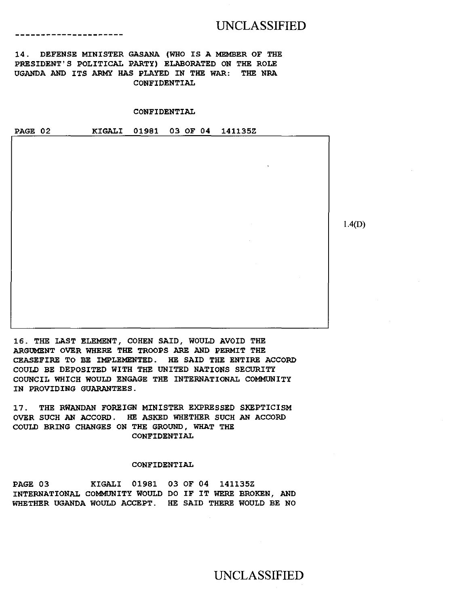14. DEFENSE MINISTER GASANA (WHO IS A MEMBER OF THE PRESIDENT'S POLITICAL PARTY) ELABORATED ON THE ROLE UGANDA AND ITS ARMY HAS PLAYED IN THE WAR: THE NRA CONFIDENTIAL

--------------------

### CONFIDENTIAL

PAGE 02 KIGALI 01981 03 OF 04 141135Z

16. THE LAST ELEMENT, COHEN SAID, WOULD AVOID THE ARGUMENT OVER WHERE THE TROOPS ARE AND PERMIT THE CEASEFIRE TO BE IMPLEMENTED. HE SAID THE ENTIRE ACCORD COULD BE DEPOSITED WITH THE UNITED NATIONS SECURITY COUNCIL WHICH WOULD ENGAGE THE INTERNATIONAL COMMUNITY IN PROVIDING GUARANTEES.

17. THE RWANDAN FOREIGN MINISTER EXPRESSED SKEPTICISM OVER SUCH AN ACCORD. HE ASKED WHETHER SUCH AN ACCORD COULD BRING CHANGES ON THE GROUND, WHAT THE CONFIDENTIAL

#### CONFIDENTIAL

PAGE 03 KIGALI 01981 03 OF 04 141135Z INTERNATIONAL COMMUNITY WOULD DO IF IT WERE BROKEN, AND WHETHER UGANDA WOULD ACCEPT. HE SAID THERE WOULD BE NO

# UNCLASSIFIED

1.4(D)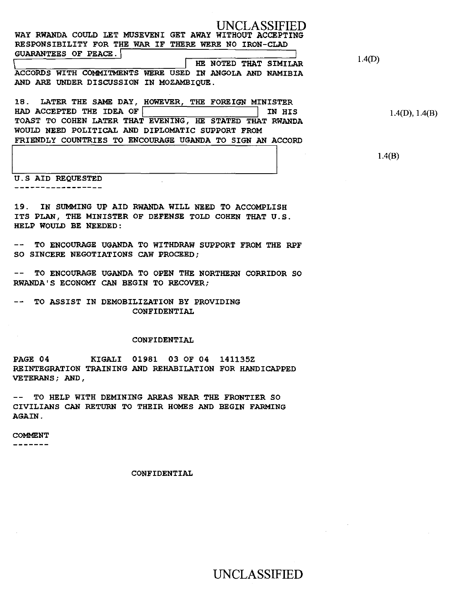UNCLASSIFIED WAY RWANDA COULD LET MUSEVENI GET AWAY WITHOUT ACCEPTING RESPONSIBILITY FOR THE WAR IF THERE WERE NO IRON-CLAD GUARANTEES OF PEACE.\ THE NOTED THAT SIMILAR

ACCORDS WITH COMMITMENTS WERE USED IN ANGOLA AND NAMIBIA AND ARE UNDER DISCUSSION IN MOZAMBIQUE.

18. LATER THE SAME DAY, HOWEVER, THE FOREIGN MINISTER HAD ACCEPTED THE IDEA OF **IN HIS** TOAST TO COHEN LATER THAT EVENING, HE STATED THAT RWANDA WOULD NEED POLITICAL AND DIPLOMATIC SUPPORT FROM FRIENDLY COUNTRIES TO ENCOURAGE UGANDA TO SIGN AN ACCORD

1.4(D)

1.4(D), 1.4(B)

1.4(B)

U.S AID REQUESTED -----------------

19. IN SUMMING UP AID RWANDA WILL NEED TO ACCOMPLISH ITS PLAN, THE MINISTER OF DEFENSE TOLD COHEN THAT U.S. HELP WOULD BE NEEDED:

-- TO ENCOURAGE UGANDA TO WITHDRAW SUPPORT FROM THE RPF SO SINCERE NEGOTIATIONS CAW PROCEED;

-- TO ENCOURAGE UGANDA TO OPEN THE NORTHERN CORRIDOR SO RWANDA'S ECONOMY CAN BEGIN TO RECOVER;

-- TO ASSIST IN DEMOBILIZATION BY PROVIDING CONFIDENTIAL

#### CONFIDENTIAL

PAGE 04 KIGALI 01981 03 OF 04 141135Z REINTEGRATION TRAINING AND REHABILATION FOR HANDICAPPED VETERANS; AND,

-- TO HELP WITH DEMINING AREAS NEAR THE FRONTIER SO CIVILIANS CAN RETURN TO THEIR HOMES AND BEGIN FARMING AGAIN.

COMMENT

-------

CONFIDENTIAL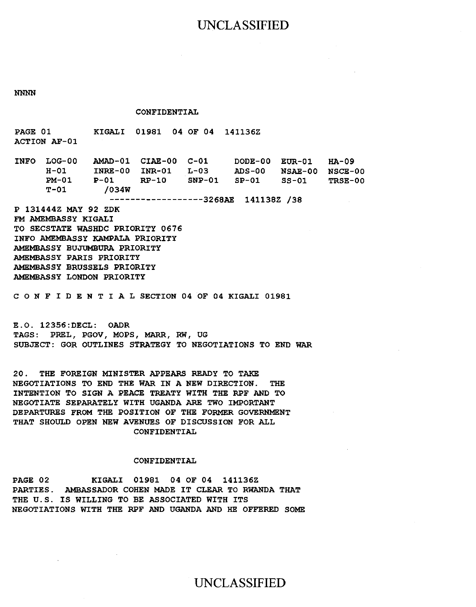### NNNN

CONFIDENTIAL

| PAGE 01     |                            | KIGALI                 | 01981               | 04 OF 04         | 141136Z                  |                           |                                  |
|-------------|----------------------------|------------------------|---------------------|------------------|--------------------------|---------------------------|----------------------------------|
|             | <b>ACTION AF-01</b>        |                        |                     |                  |                          |                           |                                  |
| <b>INFO</b> | LOG-00<br>H-01             | $AMAD-01$<br>$INRE-00$ | CIAE-00<br>$INR-01$ | $C-01$<br>$L-03$ | DODE-00                  | $EUR-01$                  | $HA-09$                          |
|             | $PM-01$                    | $P-01$                 | $RP-10$             | $SNP-01$         | <b>ADS-00</b><br>$SP-01$ | <b>NSAE-00</b><br>$SS-01$ | <b>NSCE-00</b><br><b>TRSE-00</b> |
|             | T-01                       | /034W                  |                     |                  |                          |                           |                                  |
|             |                            |                        |                     | --3268AE         | 141138Z /38              |                           |                                  |
|             | P 131444Z MAY 92 ZDK       |                        |                     |                  |                          |                           |                                  |
|             | <b>FM AMEMBASSY KIGALI</b> |                        |                     |                  |                          |                           |                                  |

TO SECSTATE WASHDC PRIORITY 0676 INFO AMEMBASSY KAMPALA PRIORITY AMEMBASSY BUJUMBURA PRIORITY AMEMBASSY PARIS PRIORITY AMEMBASSY BRUSSELS PRIORITY AMEMBASSY LONDON PRIORITY

C 0 N F I D E N T I A L SECTION 04 OF 04 KIGALI 01981

E.O. 12356:DECL: OADR TAGS: PREL, PGOV, MOPS, MARR, RW, UG SUBJECT: GOR OUTLINES STRATEGY TO NEGOTIATIONS TO END WAR

20. THE FOREIGN MINISTER APPEARS READY TO TAKE NEGOTIATIONS TO END THE WAR IN A NEW DIRECTION. THE INTENTION TO SIGN A PEACE TREATY WITH THE RPF AND TO NEGOTIATE SEPARATELY WITH UGANDA ARE TWO IMPORTANT DEPARTURES FROM THE POSITION OF THE FORMER GOVERNMENT THAT SHOULD OPEN NEW AVENUES OF DISCUSSION FOR ALL CONFIDENTIAL

#### CONFIDENTIAL

PAGE 02 KIGALI 01981 04 OF 04 141136Z PARTIES. AMBASSADOR COHEN MADE IT CLEAR TO RWANDA THAT THE U.S. IS WILLING TO BE ASSOCIATED WITH ITS NEGOTIATIONS WITH THE RPF AND UGANDA AND HE OFFERED SOME